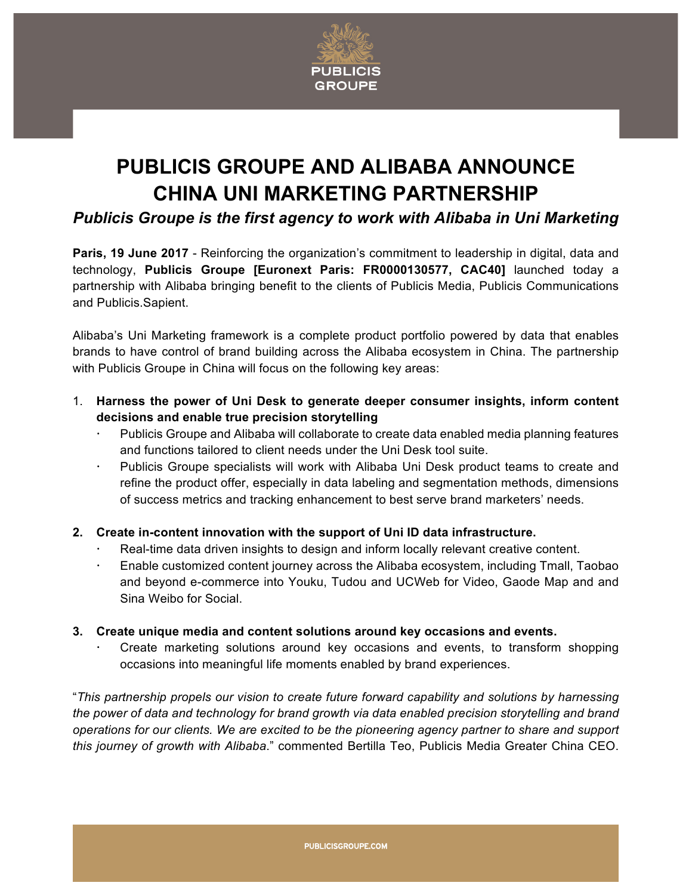

## **PUBLICIS GROUPE AND ALIBABA ANNOUNCE CHINA UNI MARKETING PARTNERSHIP**

*Publicis Groupe is the first agency to work with Alibaba in Uni Marketing*

**Paris, 19 June 2017** - Reinforcing the organization's commitment to leadership in digital, data and technology, **Publicis Groupe [Euronext Paris: FR0000130577, CAC40]** launched today a partnership with Alibaba bringing benefit to the clients of Publicis Media, Publicis Communications and Publicis.Sapient.

Alibaba's Uni Marketing framework is a complete product portfolio powered by data that enables brands to have control of brand building across the Alibaba ecosystem in China. The partnership with Publicis Groupe in China will focus on the following key areas:

- 1. **Harness the power of Uni Desk to generate deeper consumer insights, inform content decisions and enable true precision storytelling** 
	- Publicis Groupe and Alibaba will collaborate to create data enabled media planning features and functions tailored to client needs under the Uni Desk tool suite.
	- Publicis Groupe specialists will work with Alibaba Uni Desk product teams to create and refine the product offer, especially in data labeling and segmentation methods, dimensions of success metrics and tracking enhancement to best serve brand marketers' needs.
- **2. Create in-content innovation with the support of Uni ID data infrastructure.** 
	- Real-time data driven insights to design and inform locally relevant creative content.
	- Enable customized content journey across the Alibaba ecosystem, including Tmall, Taobao and beyond e-commerce into Youku, Tudou and UCWeb for Video, Gaode Map and and Sina Weibo for Social.
- **3. Create unique media and content solutions around key occasions and events.** 
	- Create marketing solutions around key occasions and events, to transform shopping occasions into meaningful life moments enabled by brand experiences.

"*This partnership propels our vision to create future forward capability and solutions by harnessing the power of data and technology for brand growth via data enabled precision storytelling and brand operations for our clients. We are excited to be the pioneering agency partner to share and support this journey of growth with Alibaba*." commented Bertilla Teo, Publicis Media Greater China CEO.